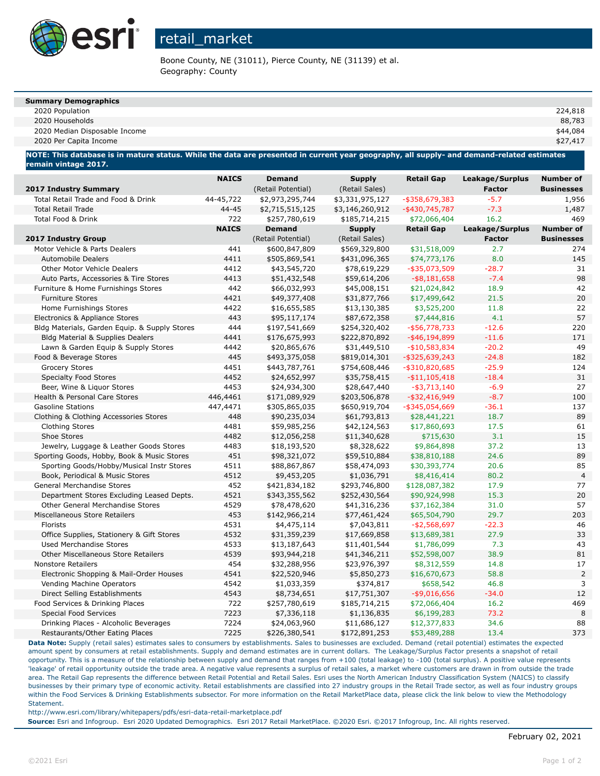

# retail\_market

Boone County, NE (31011), Pierce County, NE (31139) et al. Geography: County

#### **Summary Demographics**

| mmary Demographics |         |
|--------------------|---------|
| 2020 Population    | 224,818 |

2020 Households 88,783

2020 Median Disposable Income \$44,084

2020 Per Capita Income \$27,417

**NOTE: This database is in mature status. While the data are presented in current year geography, all supply- and demand-related estimates remain vintage 2017.**

| 2017 Industry Summary                         | <b>NAICS</b> | <b>Demand</b><br>(Retail Potential) | <b>Supply</b><br>(Retail Sales) | <b>Retail Gap</b> | Leakage/Surplus<br><b>Factor</b> | <b>Number of</b><br><b>Businesses</b> |
|-----------------------------------------------|--------------|-------------------------------------|---------------------------------|-------------------|----------------------------------|---------------------------------------|
| Total Retail Trade and Food & Drink           | 44-45,722    | \$2,973,295,744                     | \$3,331,975,127                 | -\$358,679,383    | $-5.7$                           | 1,956                                 |
| <b>Total Retail Trade</b>                     | 44-45        | \$2,715,515,125                     | \$3,146,260,912                 | -\$430,745,787    | $-7.3$                           | 1,487                                 |
| Total Food & Drink                            | 722          | \$257,780,619                       | \$185,714,215                   | \$72,066,404      | 16.2                             | 469                                   |
|                                               | <b>NAICS</b> | <b>Demand</b>                       | <b>Supply</b>                   | <b>Retail Gap</b> | Leakage/Surplus                  | <b>Number of</b>                      |
| <b>2017 Industry Group</b>                    |              | (Retail Potential)                  | (Retail Sales)                  |                   | <b>Factor</b>                    | <b>Businesses</b>                     |
| Motor Vehicle & Parts Dealers                 | 441          | \$600,847,809                       | \$569,329,800                   | \$31,518,009      | 2.7                              | 274                                   |
| <b>Automobile Dealers</b>                     | 4411         | \$505,869,541                       | \$431,096,365                   | \$74,773,176      | 8.0                              | 145                                   |
| <b>Other Motor Vehicle Dealers</b>            | 4412         | \$43,545,720                        | \$78,619,229                    | $-$ \$35,073,509  | $-28.7$                          | 31                                    |
| Auto Parts, Accessories & Tire Stores         | 4413         | \$51,432,548                        | \$59,614,206                    | $-$ \$8,181,658   | $-7.4$                           | 98                                    |
| Furniture & Home Furnishings Stores           | 442          | \$66,032,993                        | \$45,008,151                    | \$21,024,842      | 18.9                             | 42                                    |
| <b>Furniture Stores</b>                       | 4421         | \$49,377,408                        | \$31,877,766                    | \$17,499,642      | 21.5                             | 20                                    |
| Home Furnishings Stores                       | 4422         | \$16,655,585                        | \$13,130,385                    | \$3,525,200       | 11.8                             | 22                                    |
| Electronics & Appliance Stores                | 443          | \$95,117,174                        | \$87,672,358                    | \$7,444,816       | 4.1                              | 57                                    |
| Bldg Materials, Garden Equip. & Supply Stores | 444          | \$197,541,669                       | \$254,320,402                   | $-$ \$56,778,733  | $-12.6$                          | 220                                   |
| <b>Bldg Material &amp; Supplies Dealers</b>   | 4441         | \$176,675,993                       | \$222,870,892                   | $-$ \$46,194,899  | $-11.6$                          | 171                                   |
| Lawn & Garden Equip & Supply Stores           | 4442         | \$20,865,676                        | \$31,449,510                    | $-$10,583,834$    | $-20.2$                          | 49                                    |
| Food & Beverage Stores                        | 445          | \$493,375,058                       | \$819,014,301                   | $-$ \$325,639,243 | $-24.8$                          | 182                                   |
| <b>Grocery Stores</b>                         | 4451         | \$443,787,761                       | \$754,608,446                   | $-$ \$310,820,685 | $-25.9$                          | 124                                   |
| <b>Specialty Food Stores</b>                  | 4452         | \$24,652,997                        | \$35,758,415                    | $- $11,105,418$   | $-18.4$                          | 31                                    |
| Beer, Wine & Liquor Stores                    | 4453         | \$24,934,300                        | \$28,647,440                    | $-$ \$3,713,140   | $-6.9$                           | 27                                    |
| Health & Personal Care Stores                 | 446,4461     | \$171,089,929                       | \$203,506,878                   | $-$ \$32,416,949  | $-8.7$                           | 100                                   |
| <b>Gasoline Stations</b>                      | 447,4471     | \$305,865,035                       | \$650,919,704                   | $-$ \$345,054,669 | $-36.1$                          | 137                                   |
| Clothing & Clothing Accessories Stores        | 448          | \$90,235,034                        | \$61,793,813                    | \$28,441,221      | 18.7                             | 89                                    |
| <b>Clothing Stores</b>                        | 4481         | \$59,985,256                        | \$42,124,563                    | \$17,860,693      | 17.5                             | 61                                    |
| Shoe Stores                                   | 4482         | \$12,056,258                        | \$11,340,628                    | \$715,630         | 3.1                              | 15                                    |
| Jewelry, Luggage & Leather Goods Stores       | 4483         | \$18,193,520                        | \$8,328,622                     | \$9,864,898       | 37.2                             | 13                                    |
| Sporting Goods, Hobby, Book & Music Stores    | 451          | \$98,321,072                        | \$59,510,884                    | \$38,810,188      | 24.6                             | 89                                    |
| Sporting Goods/Hobby/Musical Instr Stores     | 4511         | \$88,867,867                        | \$58,474,093                    | \$30,393,774      | 20.6                             | 85                                    |
| Book, Periodical & Music Stores               | 4512         | \$9,453,205                         | \$1,036,791                     | \$8,416,414       | 80.2                             | $\overline{4}$                        |
| <b>General Merchandise Stores</b>             | 452          | \$421,834,182                       | \$293,746,800                   | \$128,087,382     | 17.9                             | 77                                    |
| Department Stores Excluding Leased Depts.     | 4521         | \$343,355,562                       | \$252,430,564                   | \$90,924,998      | 15.3                             | 20                                    |
| <b>Other General Merchandise Stores</b>       | 4529         | \$78,478,620                        | \$41,316,236                    | \$37,162,384      | 31.0                             | 57                                    |
| Miscellaneous Store Retailers                 | 453          | \$142,966,214                       | \$77,461,424                    | \$65,504,790      | 29.7                             | 203                                   |
| Florists                                      | 4531         | \$4,475,114                         | \$7,043,811                     | $- $2,568,697$    | $-22.3$                          | 46                                    |
| Office Supplies, Stationery & Gift Stores     | 4532         | \$31,359,239                        | \$17,669,858                    | \$13,689,381      | 27.9                             | 33                                    |
| <b>Used Merchandise Stores</b>                | 4533         | \$13,187,643                        | \$11,401,544                    | \$1,786,099       | 7.3                              | 43                                    |
| <b>Other Miscellaneous Store Retailers</b>    | 4539         | \$93,944,218                        | \$41,346,211                    | \$52,598,007      | 38.9                             | 81                                    |
| <b>Nonstore Retailers</b>                     | 454          | \$32,288,956                        | \$23,976,397                    | \$8,312,559       | 14.8                             | 17                                    |
| Electronic Shopping & Mail-Order Houses       | 4541         | \$22,520,946                        | \$5,850,273                     | \$16,670,673      | 58.8                             | $\overline{2}$                        |
| Vending Machine Operators                     | 4542         | \$1,033,359                         | \$374,817                       | \$658,542         | 46.8                             | 3                                     |
| Direct Selling Establishments                 | 4543         | \$8,734,651                         | \$17,751,307                    | $-$ \$9,016,656   | $-34.0$                          | 12                                    |
| Food Services & Drinking Places               | 722          | \$257,780,619                       | \$185,714,215                   | \$72,066,404      | 16.2                             | 469                                   |
| <b>Special Food Services</b>                  | 7223         | \$7,336,118                         | \$1,136,835                     | \$6,199,283       | 73.2                             | 8                                     |
| Drinking Places - Alcoholic Beverages         | 7224         | \$24,063,960                        | \$11,686,127                    | \$12,377,833      | 34.6                             | 88                                    |
| Restaurants/Other Eating Places               | 7225         | \$226,380,541                       | \$172,891,253                   | \$53,489,288      | 13.4                             | 373                                   |

**Data Note:** Supply (retail sales) estimates sales to consumers by establishments. Sales to businesses are excluded. Demand (retail potential) estimates the expected amount spent by consumers at retail establishments. Supply and demand estimates are in current dollars. The Leakage/Surplus Factor presents a snapshot of retail opportunity. This is a measure of the relationship between supply and demand that ranges from +100 (total leakage) to -100 (total surplus). A positive value represents 'leakage' of retail opportunity outside the trade area. A negative value represents a surplus of retail sales, a market where customers are drawn in from outside the trade area. The Retail Gap represents the difference between Retail Potential and Retail Sales. Esri uses the North American Industry Classification System (NAICS) to classify businesses by their primary type of economic activity. Retail establishments are classified into 27 industry groups in the Retail Trade sector, as well as four industry groups within the Food Services & Drinking Establishments subsector. For more information on the Retail MarketPlace data, please click the link below to view the Methodology Statement.

http://www.esri.com/library/whitepapers/pdfs/esri-data-retail-marketplace.pdf

**Source:** Esri and Infogroup. Esri 2020 Updated Demographics. Esri 2017 Retail MarketPlace. ©2020 Esri. ©2017 Infogroup, Inc. All rights reserved.